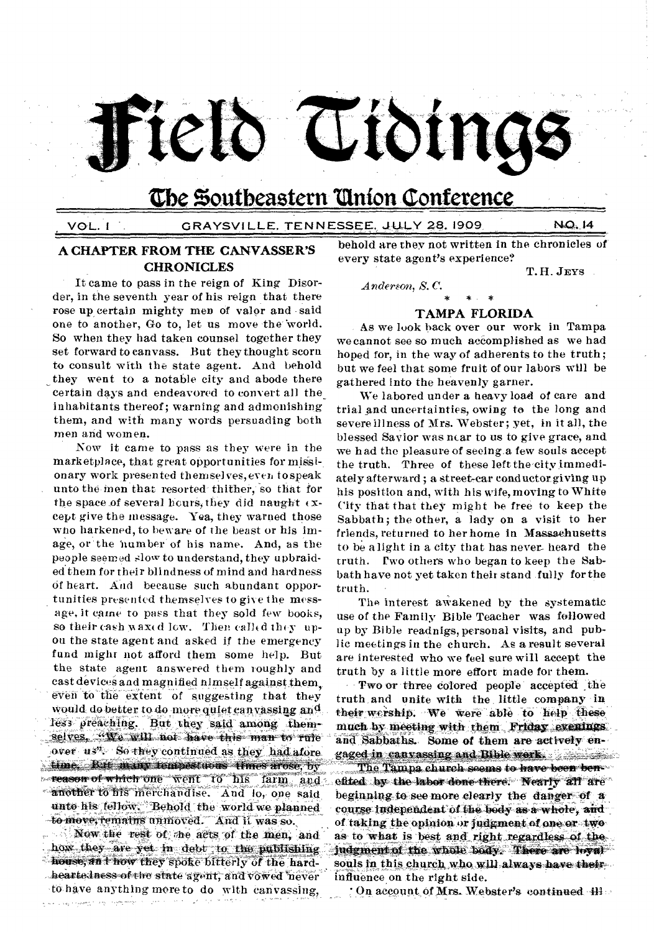

# **'De Zoutbeastern 'Union Conference**

## VOL. 1 GRAYSV1LLE, TEN NESSEE. JULY 28.1909 M0.14

## **A CHAPTER FROM THE CANVASSER'S CHRONICLES**

certain days and endeavored to convert all the in habitants thereof; warning and admonishing them, and with many words persuading both men and women. It came to pass in the reign of King Disorder, in the seventh year of his reign that there rose up certain mighty men of valor and said one to another, Go to, let us move the world. So when they had taken counsel together they set forward to canvass. But they thought scorn to consult with the state agent. And behold they went to a notable city and abode there

Now it came to pass as they were in the marketplace, that great opportunities for missionary work presented themsel ves, ever, to speak unto the men that resorted thither, so that for the space of several bours, they did naught  $\overline{\left(x\right)}$ cept give the message. Yea, they warned those who harkened, to beware of the beast or his image, or the number of his name. And, as the people seemed slow to understand, they upbraided them for their blindness of mind and hardness of heart. And because such abundant opportunities presented themselves to give the message, it came to pass that they sold few books, so their cash  $\texttt{max}( \texttt{d} \texttt{ low.} \texttt{Then} \texttt{call}( \texttt{d} \texttt{ they} \texttt{ up-}$ on the state agent and asked if the emergency fund might not afford them some help. But the state agent answered them roughly and cast devices and magnified himself against them. even to the extent of suggesting that they Would do better to do more quiet canvassing and 14.S3 preaching: But they said among thenr selves. "We will not have this man to rule over us". So they continued as they had afore time. But many tempestuous times arose, by reason of which one went to his farm and another to his merchandise. And lo, one said unto his fellow. Behold the world we planned to move, remains unmoved. And it was so. Now the rest of the acts of the men, and ..".how they are yet in debt to the.publishing

house, an t how they spoke bitterly of the hardheartedness of the state agent, and vowed never to have anything more to do with canvassing,

behold are they not written in the chronicles of every state agent's experience?

**\* \* \***  *Anderson, S. C.* 

T. H. JEYS

### **TAMPA FLORIDA**

As we look back over our work in Tampa we cannot see so much accomplished as we had hoped for, in the way of adherents to the truth; but we feel that some fruit of our labors will be gathered into the heavenly garner.

We labored under a heavy load of care and trial and uncertainties, owing to the long and severe illness of Mrs. Webster; yet, in it all, the blessed Savior was near to us to give grace, and we had the pleasure of seeing.a few souls accept the truth. Three of these left the city immediately afterward; a street-car conductor giving up his position and, with his wife, moving to White City that that they might he free to keep the Sabbath; the other, a lady on a visit to her friends, returned to her home in Massachusetts to be alight in a city that has never- heard the truth. Pwo others who began to keep the Sabbath have not yet taken their stand fully for the truth.

The interest awakened by the systematic use of the Family Bible Teacher was followed up by Bible readnigs, personal visits, and public meetings in the church. As a result several are interested who we feel sure will accept the truth by a little more effort made for them.

Two or three colored people accepted ,the truth, and unite with the little company in their wership. We were able to help these much by meeting with them Friday evenings. and Sabbaths. Some of them are actively engaged in canvassing and Bible work. The same of the set The Tampa church seems to have been benefited by the labor done-there. Nearly all are beginning to see more clearly the danger of  $\alpha$ course independent of the body as a whole, and of taking the opinion or judgment of one or two as to what is best and right regardless of the judgment of the whole body. There are loyal souls in this church who will always have theirinfluence on the right side.

7 On account of Mrs. Webster's continued  $\pm$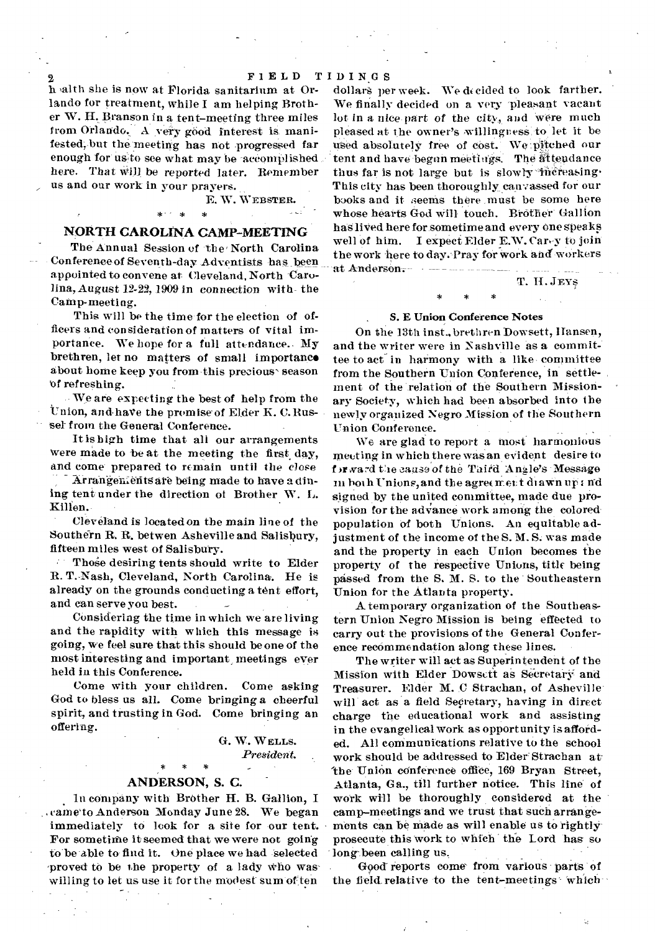h altit she is now at Florida sanitarium at Orlando for treatment, while I am helping Brother W. H. Branson in a tent-meeting three miles from Orlando. A very good interest is manifested, but the meeting has not progressed far enough for us to see what may be accomplished *here.* That Will be reported later. Remember us and our work in your prayers.

## E. W. WEBSTER. \*- \* \*

#### NORTH CAROLINA CAMP-MEETING

The Annual Session of the North Carolina Conference of Seventh-day Adventists has been appointed to convene at Cleveland, North Carolina, August 12-22, 1909 in connection with- the Camp-meeting.

This will be the time for the election of officers and consideration of matters of vital importance. We hope for a full attendance. My brethren, let no matters of small importance about home keep you from this precious' season of refreshing.

We are expecting the best of help from the Union, and have the promise of Elder K. C. Russel from the General Conference.

It is high time that all our arrangements were made to be at the meeting the first day, and come prepared to remain until the close

Arrangements are being made to have a dining tent under the direction of Brother W. L. Killen.

Cleveland is located on the main line of the Southern R. R. betwen Asheville and Salisbury, fifteen miles west of Salisbury.

Those desiring tents should write to Elder R. T.-Nash, Cleveland, North Carolina. He is already on the grounds conducting a tent effort, and can serve you best.

COnsidering the time in which we are living and the rapidity with which this message is going, we feel sure that this should be one of the most interesting and important meetings ever held in this Conference.

Come with your children. Come asking God to bless us all. Come bringing a cheerful spirit, and trusting in God. Come bringing an offering.

> G. W. WELLS. President.

# \* \* \* ANDERSON, S. C.

In company with BrOther H. B. Gallion, I cameto Anderson Monday June 28. We began immediately to look for a site for our tent. For sometime it seemed that we were not going to be able to find it. One place we had Selected proved to be the property of a lady Who waswilling to let us use it for the modest sum of ten

dollars per week. We decided to look farther. We finally decided on a very pleasant vacant lot in a nice-part of the city, and were much pleased at the owner's willingness'to let it be used absolutely free of cost. We pitched our tent and have begun meetings. The attendance thus far is not large but is slowly increasing. This city has been thoroughly canvassed for our books and it seems there must be some here whose hearts God will touch. Brother' Gallion has liVed here forsometime and every one speaks well of him. I expect Elder E.W. Carey to join the work here to day. Pray for work and workers -at Anderson.

T. II. JEYS

# \* , *S.* E Union Conference Notes

On the 13th inst., brethren Dowsett, Hansen, and the writer were in Nashville as a committee to act in harmony with a like committee from the Southern Union Conference, in settlement of the relation of the Southern Missionary Society, which had been absorbed into the newly organized Negro Mission of the Southern Union Conference.

. We are glad to report a Most harmonious meeting in which there was an evident desire to f )r ward the cause of the Third Angle's Message in both Unions, and the agreement diawn up and signed by the united committee, made due provision for the advance work among the colored. population 01 both Unions. An equitable adjustment of the income of the S. M.S. was made and the property in each Union becomes the property of the respective Unions, title being passed from the S. M. S. to the Southeastern Union for the Atlanta property.

A temporary organization of the Southeastern Union Negro Mission is being effected to carry out the provisions of the General Conference recommendation along these lines.

The writer will act as Superintendent of the Mission with Elder Dowsett as Secretary and Treasurer. Elder M. C Strachan, of Asheville will act as a field Secretary, having in direct charge the educational work and assisting in the evangelical work as opportunity is afforded. All communications relative to the school work should be addressed to Elder Strachan at- 'the Union conference office, 169 Bryan Street, Atlanta, Ga., till further notice. This line of work will be thoroughly considered at the camp-meetings' and we trust that such arrangements can be made as will enable us to rightly prosecute this work to which the Lord has so long- been calling us.

Good-reports come from various parts 'of the field relative to the tent-meetings' which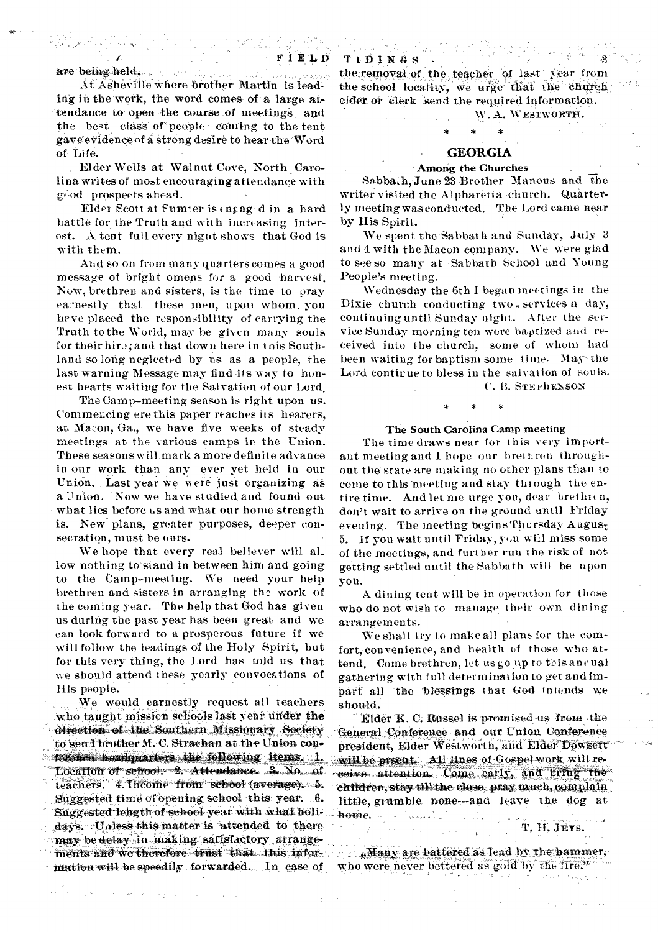are being held.

At Asheville where brother Martin is leading in the work, the word comes of a large attendance to open the course of meetings and the best class of people coming to the tent gaveeVidenceof a strong desire to hear tire Word of Life.

Elder Wells at Walnut Cove, North Carolina writes of. most encouraging attendance with gi.od prospects ahead.

Elder Scott at Sumter is  $($ ngag $(d$  in a hard battle for the Truth and with increasing interest. A tent full every nignt shows that God is with them.

And so on from many quarters comes a good message of bright omens for a good harvest. Now, brethren and sisters, is the time to pray earnestly that these men, upon whom, you have placed the responsibility of carrying the Truth to the World, may be given many souls for their hire; and that down here in this Southland so long neglected by us as a people, the last warning Message may find its way to honest hearts waiting for the Salvation of our Lord.

The Camp-meeting season is right upon us. Commencing ere this paper reaches its hearers, at Macon, Ga., we have five weeks of steady meetings at the various camps in the Union. These seasons will mark a more definite advance in our work than any ever yet held in our Union. Last year we were just organizing as a Union. Now we have studied and found out what lies before us and what our home strength is. New plans, greater purposes, deeper consecration, must be ours.

We hope that every real believer will al\_ low nothing to stand in between him and going to the Camp-meeting. We need your help brethren and sisters in arranging the work of the coming year. The help that God has given us during the past year has been great and we can look forward to a prosperous future if we will follow the leadings of the Holy Spirit, but for this very thing, the Lord has told us that we should attend these yearly convocations of His people.

We would earnestly request all teachers who taught mission sebocls last year under the direction of the Southern Missionary Society to sen 1 brother M. C. Strachan at the Union con.  $\sim$  following items. 1. Location of school: 2.4 Attendance. 3. No. of teachers. 4. Income from school (average). 5. Suggested time of opening school this year. 6. Suggested length of school year with what holidays. Unless this matter is attended to there, may be delay in making satisfactory arrangements and we therefore trust that this infor $m$ ation will be speedily forwarded. In case of

TIIIIN4S • the,removal of the teacher of last year from the school locality, we urge that the church elder or "Clerk 'send the required information.

# \* \* \* GEORGIA

W. A. WESTWORTH.

# . Among the Churches

Sabba.h, June 23 Brother Manous and the writer visited the Alpharetta church. Quarterly meeting was conducted. The Lord came near by His Spirit.

We spent the Sabbath and Sunday, July 3 and 4 with the Macon company. We were glad to see so many at Sabbath School and Young People's meeting.

Wednesday the 6th I began meetings in the Dixie church conducting two services a day, continuing until Sunday night. After the service Sunday morning ten were baptized and received into the church, some of whom had been waiting for baptism some time. May-the Lord continue to bless in the salvation,of souls.

C. B. STEPhENSON

#### The South Carolina Camp meeting

The time draws near for this very important meeting and I hope our brethren throughout the' state are making no other plans than to come to this meeting and stay through the entire time. And let me urge you, dear brethien, don't wait to arrive on the ground until Friday evening. The meeting begins Thursday August 5. If you wait until Friday,  $y \circ u$  will miss some of the meetings, and further run the risk of not getting settled until the Sabbath will be' upon you.

A dining tent will be in operation for those who do not wish to manage their own dining arrangements.

We shall try to make all plans for the comfort, convenience, and health of those who attend. Come brethren, let us go up to this annual gathering with full determination to get and impart all 'the 'blessings that God intends we should.

Elder K. C. Russel is promised us from the General COnforence and our Union Conference president, Elder Westworth, and Elder Dowsert will be prsent. All lines of Gospel work will receive attention. Come early, and bring the children, stay till the close, pray much, complain little, grumble none--and leave the dog at home.

T. H. JEYS.

if Hany are battered as lead by the hammer, who were never bettered as gold by the fire.

 $\Delta \sim 1$